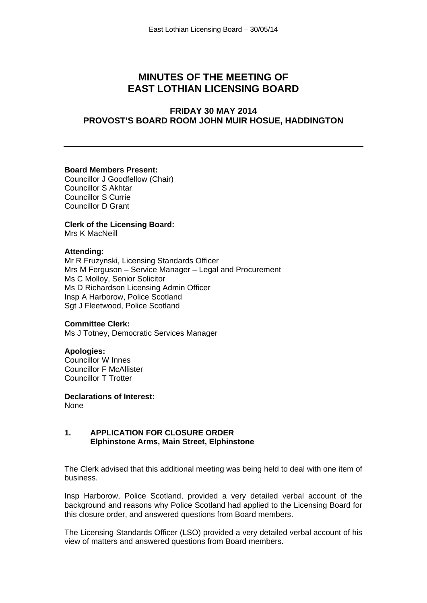# **MINUTES OF THE MEETING OF EAST LOTHIAN LICENSING BOARD**

# **FRIDAY 30 MAY 2014 PROVOST'S BOARD ROOM JOHN MUIR HOSUE, HADDINGTON**

## **Board Members Present:**

Councillor J Goodfellow (Chair) Councillor S Akhtar Councillor S Currie Councillor D Grant

**Clerk of the Licensing Board:** Mrs K MacNeill

#### **Attending:**

Mr R Fruzynski, Licensing Standards Officer Mrs M Ferguson – Service Manager – Legal and Procurement Ms C Molloy, Senior Solicitor Ms D Richardson Licensing Admin Officer Insp A Harborow, Police Scotland Sgt J Fleetwood, Police Scotland

#### **Committee Clerk:**

Ms J Totney, Democratic Services Manager

#### **Apologies:**

Councillor W Innes Councillor F McAllister Councillor T Trotter

**Declarations of Interest:**  None

## **1. APPLICATION FOR CLOSURE ORDER Elphinstone Arms, Main Street, Elphinstone**

The Clerk advised that this additional meeting was being held to deal with one item of business.

Insp Harborow, Police Scotland, provided a very detailed verbal account of the background and reasons why Police Scotland had applied to the Licensing Board for this closure order, and answered questions from Board members.

The Licensing Standards Officer (LSO) provided a very detailed verbal account of his view of matters and answered questions from Board members.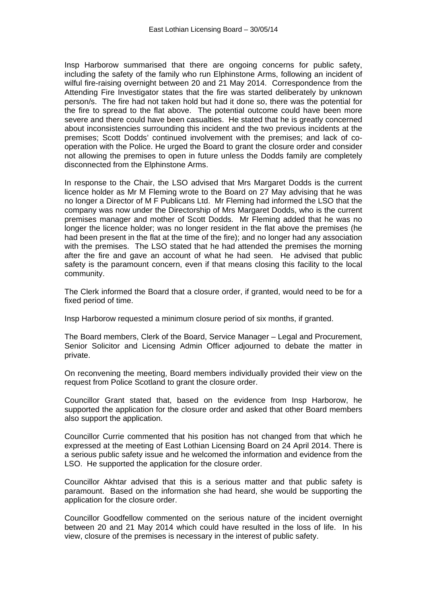Insp Harborow summarised that there are ongoing concerns for public safety, including the safety of the family who run Elphinstone Arms, following an incident of wilful fire-raising overnight between 20 and 21 May 2014. Correspondence from the Attending Fire Investigator states that the fire was started deliberately by unknown person/s. The fire had not taken hold but had it done so, there was the potential for the fire to spread to the flat above. The potential outcome could have been more severe and there could have been casualties. He stated that he is greatly concerned about inconsistencies surrounding this incident and the two previous incidents at the premises; Scott Dodds' continued involvement with the premises; and lack of cooperation with the Police. He urged the Board to grant the closure order and consider not allowing the premises to open in future unless the Dodds family are completely disconnected from the Elphinstone Arms.

In response to the Chair, the LSO advised that Mrs Margaret Dodds is the current licence holder as Mr M Fleming wrote to the Board on 27 May advising that he was no longer a Director of M F Publicans Ltd. Mr Fleming had informed the LSO that the company was now under the Directorship of Mrs Margaret Dodds, who is the current premises manager and mother of Scott Dodds. Mr Fleming added that he was no longer the licence holder; was no longer resident in the flat above the premises (he had been present in the flat at the time of the fire); and no longer had any association with the premises. The LSO stated that he had attended the premises the morning after the fire and gave an account of what he had seen. He advised that public safety is the paramount concern, even if that means closing this facility to the local community.

The Clerk informed the Board that a closure order, if granted, would need to be for a fixed period of time.

Insp Harborow requested a minimum closure period of six months, if granted.

The Board members, Clerk of the Board, Service Manager – Legal and Procurement, Senior Solicitor and Licensing Admin Officer adjourned to debate the matter in private.

On reconvening the meeting, Board members individually provided their view on the request from Police Scotland to grant the closure order.

Councillor Grant stated that, based on the evidence from Insp Harborow, he supported the application for the closure order and asked that other Board members also support the application.

Councillor Currie commented that his position has not changed from that which he expressed at the meeting of East Lothian Licensing Board on 24 April 2014. There is a serious public safety issue and he welcomed the information and evidence from the LSO. He supported the application for the closure order.

Councillor Akhtar advised that this is a serious matter and that public safety is paramount. Based on the information she had heard, she would be supporting the application for the closure order.

Councillor Goodfellow commented on the serious nature of the incident overnight between 20 and 21 May 2014 which could have resulted in the loss of life. In his view, closure of the premises is necessary in the interest of public safety.